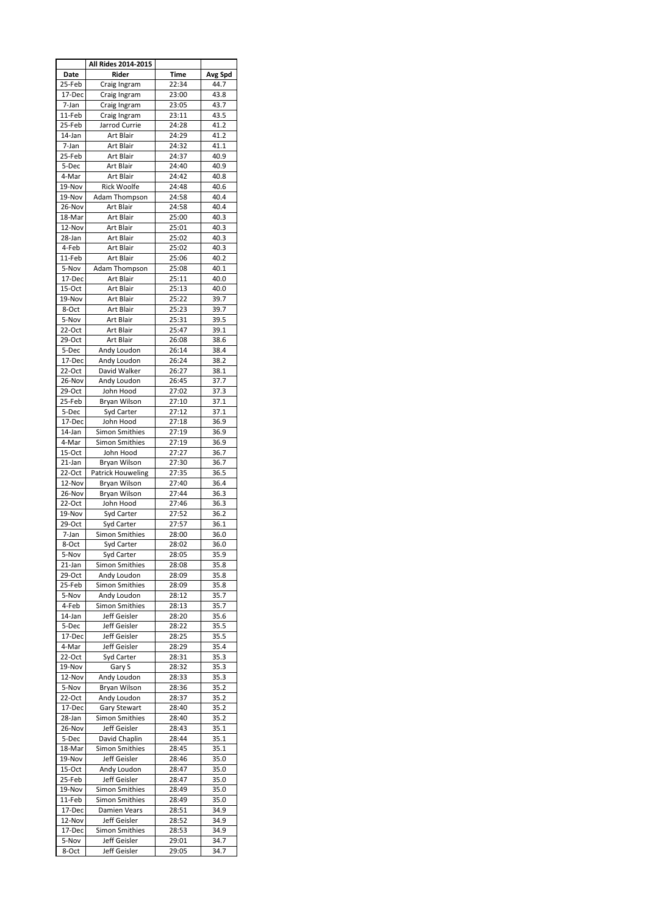|                    | All Rides 2014-2015                   |                |              |
|--------------------|---------------------------------------|----------------|--------------|
| Date               | <b>Rider</b>                          | Time           | Avg Spd      |
| 25-Feb             | Craig Ingram                          | 22:34          | 44.7         |
| 17-Dec             | Craig Ingram                          | 23:00          | 43.8         |
| 7-Jan              | Craig Ingram                          | 23:05          | 43.7         |
| 11-Feb             | Craig Ingram                          | 23:11<br>24:28 | 43.5<br>41.2 |
| 25-Feb<br>14-Jan   | Jarrod Currie<br><b>Art Blair</b>     | 24:29          | 41.2         |
| 7-Jan              | Art Blair                             | 24:32          | 41.1         |
| 25-Feb             | Art Blair                             | 24:37          | 40.9         |
| 5-Dec              | Art Blair                             | 24:40          | 40.9         |
| 4-Mar              | Art Blair                             | 24:42          | 40.8         |
| 19-Nov             | <b>Rick Woolfe</b>                    | 24:48          | 40.6         |
| 19-Nov             | Adam Thompson                         | 24:58          | 40.4         |
| 26-Nov             | Art Blair                             | 24:58          | 40.4         |
| 18-Mar             | Art Blair                             | 25:00          | 40.3         |
| 12-Nov<br>28-Jan   | Art Blair<br>Art Blair                | 25:01<br>25:02 | 40.3<br>40.3 |
| 4-Feb              | Art Blair                             | 25:02          | 40.3         |
| 11-Feb             | Art Blair                             | 25:06          | 40.2         |
| 5-Nov              | Adam Thompson                         | 25:08          | 40.1         |
| 17-Dec             | Art Blair                             | 25:11          | 40.0         |
| 15-Oct             | <b>Art Blair</b>                      | 25:13          | 40.0         |
| 19-Nov             | Art Blair                             | 25:22          | 39.7         |
| 8-Oct              | Art Blair                             | 25:23          | 39.7         |
| 5-Nov              | Art Blair                             | 25:31          | 39.5         |
| 22-Oct<br>$29-Oct$ | Art Blair<br>Art Blair                | 25:47          | 39.1<br>38.6 |
| 5-Dec              | Andy Loudon                           | 26:08<br>26:14 | 38.4         |
| 17-Dec             | Andy Loudon                           | 26:24          | 38.2         |
| $22-Oct$           | David Walker                          | 26:27          | 38.1         |
| 26-Nov             | Andy Loudon                           | 26:45          | 37.7         |
| $29$ -Oct          | John Hood                             | 27:02          | 37.3         |
| 25-Feb             | Bryan Wilson                          | 27:10          | 37.1         |
| 5-Dec              | Syd Carter                            | 27:12          | 37.1         |
| 17-Dec             | John Hood                             | 27:18          | 36.9         |
| 14-Jan             | <b>Simon Smithies</b>                 | 27:19          | 36.9         |
| 4-Mar<br>15-Oct    | <b>Simon Smithies</b><br>John Hood    | 27:19<br>27:27 | 36.9<br>36.7 |
| 21-Jan             | Bryan Wilson                          | 27:30          | 36.7         |
| 22-Oct             | Patrick Houweling                     | 27:35          | 36.5         |
| 12-Nov             | <b>Bryan Wilson</b>                   | 27:40          | 36.4         |
| 26-Nov             | Bryan Wilson                          | 27:44          | 36.3         |
| 22-Oct             | John Hood                             | 27:46          | 36.3         |
| 19-Nov             | Syd Carter                            | 27:52          | 36.2         |
| 29-Oct             | Syd Carter                            | 27:57          | 36.1         |
| 7-Jan<br>8-Oct     | <b>Simon Smithies</b><br>Syd Carter   | 28:00<br>28:02 | 36.0<br>36.0 |
| 5-Nov              | Syd Carter                            | 28:05          | 35.9         |
| 21-Jan             | <b>Simon Smithies</b>                 | 28:08          | 35.8         |
| 29-Oct             | Andy Loudon                           | 28:09          | 35.8         |
| 25-Feb             | <b>Simon Smithies</b>                 | 28:09          | 35.8         |
| 5-Nov              | Andy Loudon                           | 28:12          | 35.7         |
| 4-Feb              | <b>Simon Smithies</b>                 | 28:13          | 35.7         |
| 14-Jan             | Jeff Geisler                          | 28:20          | 35.6         |
| 5-Dec              | Jeff Geisler                          | 28:22          | 35.5         |
| 17-Dec<br>4-Mar    | Jeff Geisler<br>Jeff Geisler          | 28:25<br>28:29 | 35.5         |
| 22-Oct             | Syd Carter                            | 28:31          | 35.4<br>35.3 |
| 19-Nov             | Gary S                                | 28:32          | 35.3         |
| 12-Nov             | Andy Loudon                           | 28:33          | 35.3         |
| 5-Nov              | Bryan Wilson                          | 28:36          | 35.2         |
| $22$ -Oct          | Andy Loudon                           | 28:37          | 35.2         |
| 17-Dec             | <b>Gary Stewart</b>                   | 28:40          | 35.2         |
| 28-Jan             | <b>Simon Smithies</b>                 | 28:40          | 35.2         |
| 26-Nov             | Jeff Geisler                          | 28:43          | 35.1         |
| 5-Dec              | David Chaplin                         | 28:44          | 35.1         |
| 18-Mar<br>19-Nov   | <b>Simon Smithies</b><br>Jeff Geisler | 28:45<br>28:46 | 35.1<br>35.0 |
| 15-Oct             | Andy Loudon                           | 28:47          | 35.0         |
| 25-Feb             | Jeff Geisler                          | 28:47          | 35.0         |
| 19-Nov             | <b>Simon Smithies</b>                 | 28:49          | 35.0         |
| 11-Feb             | <b>Simon Smithies</b>                 | 28:49          | 35.0         |
| 17-Dec             | Damien Vears                          | 28:51          | 34.9         |
| 12-Nov             | Jeff Geisler                          | 28:52          | 34.9         |
| 17-Dec             | <b>Simon Smithies</b>                 | 28:53          | 34.9         |
| 5-Nov<br>8-Oct     | Jeff Geisler<br>Jeff Geisler          | 29:01<br>29:05 | 34.7<br>34.7 |